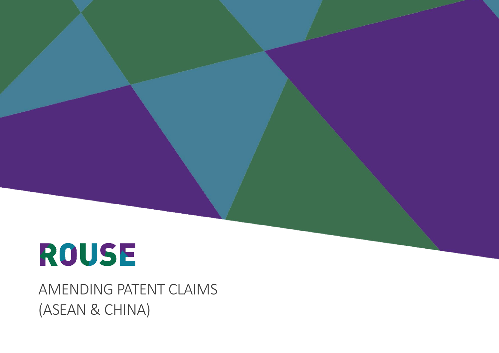AMENDING PATENT CLAIMS (ASEAN & CHINA)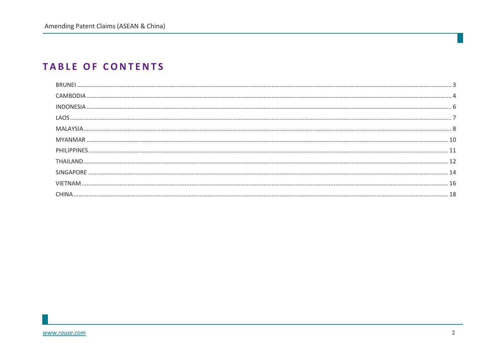### **TABLE OF CONTENTS**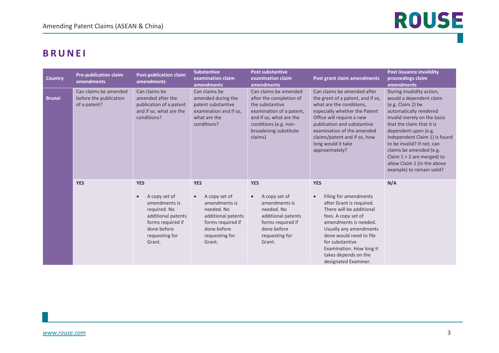### <span id="page-2-0"></span>**BRUNEI**

| <b>Country</b> | <b>Pre-publication claim</b><br>amendments                      | <b>Post-publication claim</b><br>amendments                                                                                                        | <b>Substantive</b><br>examination claim<br><b>amendments</b>                                                                                                  | <b>Post substantive</b><br>examination claim<br>amendments                                                                                                                              | Post grant claim amendments                                                                                                                                                                                                                                                                     | <b>Post issuance invalidity</b><br>proceedings claim<br>amendments                                                                                                                                                                                                                                                                                                            |
|----------------|-----------------------------------------------------------------|----------------------------------------------------------------------------------------------------------------------------------------------------|---------------------------------------------------------------------------------------------------------------------------------------------------------------|-----------------------------------------------------------------------------------------------------------------------------------------------------------------------------------------|-------------------------------------------------------------------------------------------------------------------------------------------------------------------------------------------------------------------------------------------------------------------------------------------------|-------------------------------------------------------------------------------------------------------------------------------------------------------------------------------------------------------------------------------------------------------------------------------------------------------------------------------------------------------------------------------|
| <b>Brunei</b>  | Can claims be amended<br>before the publication<br>of a patent? | Can claims be<br>amended after the<br>publication of a patent<br>and if so, what are the<br>conditions?                                            | Can claims be<br>amended during the<br>patent substantive<br>examination and if so,<br>what are the<br>conditions?                                            | Can claims be amended<br>after the completion of<br>the substantive<br>examination of a patent,<br>and if so, what are the<br>conditions (e.g. non-<br>broadening substitute<br>claims) | Can claims be amended after<br>the grant of a patent, and if so,<br>what are the conditions,<br>especially whether the Patent<br>Office will require a new<br>publication and substantive<br>examination of the amended<br>claims/patent and if so, how<br>long would it take<br>approximately? | During invalidity action,<br>would a dependent claim<br>(e.g. Claim 2) be<br>automatically rendered<br>invalid merely on the basis<br>that the claim that it is<br>dependent upon (e.g.<br>independent Claim 1) is found<br>to be invalid? If not, can<br>claims be amended (e.g.<br>Claim $1 + 2$ are merged) to<br>allow Claim 1 (in the above<br>example) to remain valid? |
|                | <b>YES</b>                                                      | <b>YES</b><br>A copy set of<br>amendments is<br>required. No<br>additional patents<br>forms required if<br>done before<br>requesting for<br>Grant. | <b>YES</b><br>A copy set of<br>$\bullet$<br>amendments is<br>needed. No<br>additional patents<br>forms required if<br>done before<br>requesting for<br>Grant. | <b>YES</b><br>A copy set of<br>$\bullet$<br>amendments is<br>needed. No<br>additional patents<br>forms required if<br>done before<br>requesting for<br>Grant.                           | <b>YES</b><br>Filing for amendments<br>after Grant is required.<br>There will be additional<br>fees. A copy set of<br>amendments is needed.<br>Usually any amendments<br>done would need to file<br>for substantive<br>Examination. How long it<br>takes depends on the<br>designated Examiner. | N/A                                                                                                                                                                                                                                                                                                                                                                           |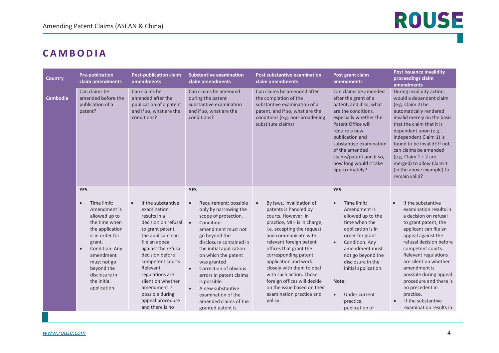### <span id="page-3-0"></span>**CAMBODIA**

| <b>Country</b>  | <b>Pre-publication</b><br>claim amendments                                                                                                                                                                                                                        | <b>Post-publication claim</b><br>amendments                                                                                                                                                                                                                                                                                                   | <b>Substantive examination</b><br>claim amendments                                                                                                                                                                                                                                                                                                                                                                                                     | <b>Post substantive examination</b><br>claim amendments                                                                                                                                                                                                                                                                                                                                                                         | Post grant claim<br>amendments                                                                                                                                                                                                                                                                                                | <b>Post issuance invalidity</b><br>proceedings claim<br>amendments                                                                                                                                                                                                                                                                                                                                             |
|-----------------|-------------------------------------------------------------------------------------------------------------------------------------------------------------------------------------------------------------------------------------------------------------------|-----------------------------------------------------------------------------------------------------------------------------------------------------------------------------------------------------------------------------------------------------------------------------------------------------------------------------------------------|--------------------------------------------------------------------------------------------------------------------------------------------------------------------------------------------------------------------------------------------------------------------------------------------------------------------------------------------------------------------------------------------------------------------------------------------------------|---------------------------------------------------------------------------------------------------------------------------------------------------------------------------------------------------------------------------------------------------------------------------------------------------------------------------------------------------------------------------------------------------------------------------------|-------------------------------------------------------------------------------------------------------------------------------------------------------------------------------------------------------------------------------------------------------------------------------------------------------------------------------|----------------------------------------------------------------------------------------------------------------------------------------------------------------------------------------------------------------------------------------------------------------------------------------------------------------------------------------------------------------------------------------------------------------|
| <b>Cambodia</b> | Can claims be<br>amended before the<br>publication of a<br>patent?                                                                                                                                                                                                | Can claims be<br>amended after the<br>publication of a patent<br>and if so, what are the<br>conditions?                                                                                                                                                                                                                                       | Can claims be amended<br>during the patent<br>substantive examination<br>and if so, what are the<br>conditions?                                                                                                                                                                                                                                                                                                                                        | Can claims be amended after<br>the completion of the<br>substantive examination of a<br>patent, and if so, what are the<br>conditions (e.g. non-broadening<br>substitute claims)                                                                                                                                                                                                                                                | Can claims be amended<br>after the grant of a<br>patent, and if so, what<br>are the conditions,<br>especially whether the<br>Patent Office will<br>require a new<br>publication and<br>substantive examination<br>of the amended<br>claims/patent and if so,<br>how long would it take<br>approximately?                      | During invalidity action,<br>would a dependent claim<br>(e.g. Claim 2) be<br>automatically rendered<br>invalid merely on the basis<br>that the claim that it is<br>dependent upon (e.g.<br>independent Claim 1) is<br>found to be invalid? If not,<br>can claims be amended<br>(e.g. Claim $1 + 2$ are<br>merged) to allow Claim 1<br>(in the above example) to<br>remain valid?                               |
|                 | <b>YES</b><br>Time limit:<br>$\bullet$<br>Amendment is<br>allowed up to<br>the time when<br>the application<br>is in order for<br>grant.<br>Condition: Any<br>$\bullet$<br>amendment<br>must not go<br>beyond the<br>disclosure in<br>the initial<br>application. | If the substantive<br>$\bullet$<br>examination<br>results in a<br>decision on refusal<br>to grant patent,<br>the applicant can<br>file an appeal<br>against the refusal<br>decision before<br>competent courts.<br>Relevant<br>regulations are<br>silent on whether<br>amendment is<br>possible during<br>appeal procedure<br>and there is no | <b>YES</b><br>Requirement: possible<br>$\bullet$<br>only by narrowing the<br>scope of protection.<br>Condition:<br>$\bullet$<br>amendment must not<br>go beyond the<br>disclosure contained in<br>the initial application<br>on which the patent<br>was granted<br>Correction of obvious<br>$\bullet$<br>errors in patent claims<br>is possible.<br>A new substantive<br>$\bullet$<br>examination of the<br>amended claims of the<br>granted patent is | By laws, invalidation of<br>patents is handled by<br>courts. However, in<br>practice, MIH is in charge,<br>i.e. accepting the request<br>and communicate with<br>relevant foreign patent<br>offices that grant the<br>corresponding patent<br>application and work<br>closely with them to deal<br>with such action. Those<br>foreign offices will decide<br>on the issue based on their<br>examination practice and<br>policy. | <b>YES</b><br>Time limit:<br>$\bullet$<br>Amendment is<br>allowed up to the<br>time when the<br>application is in<br>order for grant<br>Condition: Any<br>$\bullet$<br>amendment must<br>not go beyond the<br>disclosure in the<br>initial application.<br>Note:<br>Under current<br>$\bullet$<br>practice,<br>publication of | If the substantive<br>examination results in<br>a decision on refusal<br>to grant patent, the<br>applicant can file an<br>appeal against the<br>refusal decision before<br>competent courts.<br>Relevant regulations<br>are silent on whether<br>amendment is<br>possible during appeal<br>procedure and there is<br>no precedent in<br>practice.<br>If the substantive<br>$\bullet$<br>examination results in |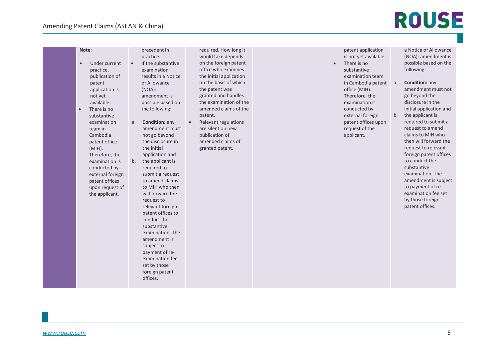| Note:<br>Under current<br>$\bullet$<br>practice,<br>publication of<br>patent<br>application is<br>not yet<br>available.<br>There is no<br>$\bullet$<br>substantive<br>examination<br>a.<br>team in<br>Cambodia<br>patent office<br>(MIH).<br>Therefore, the<br>b.<br>examination is<br>conducted by<br>external foreign<br>patent offices<br>upon request of<br>the applicant. | precedent in<br>practice.<br>If the substantive<br>examination<br>results in a Notice<br>of Allowance<br>(NOA):<br>amendment is<br>possible based on<br>the following:<br><b>Condition: any</b><br>amendment must<br>not go beyond<br>the disclosure in<br>the initial<br>application and<br>the applicant is<br>required to<br>submit a request<br>to amend claims<br>to MIH who then | required. How long it<br>would take depends<br>on the foreign patent<br>office who examines<br>the initial application<br>on the basis of which<br>the patent was<br>granted and handles<br>the examination of the<br>amended claims of the<br>patent.<br>Relevant regulations<br>are silent on new<br>publication of<br>amended claims of<br>granted patent. |  | patent application<br>is not yet available.<br>There is no<br>substantive<br>examination team<br>in Cambodia patent<br>office (MIH).<br>Therefore, the<br>examination is<br>conducted by<br>external foreign<br>patent offices upon<br>request of the<br>applicant. | a Notice of Allowance<br>(NOA): amendment is<br>possible based on the<br>following:<br><b>Condition: any</b><br>a.<br>amendment must not<br>go beyond the<br>disclosure in the<br>initial application and<br>the applicant is<br>b.<br>required to submit a<br>request to amend<br>claims to MIH who<br>then will forward the<br>request to relevant<br>foreign patent offices<br>to conduct the<br>substantive<br>examination. The<br>amendment is subject<br>to payment of re- |
|--------------------------------------------------------------------------------------------------------------------------------------------------------------------------------------------------------------------------------------------------------------------------------------------------------------------------------------------------------------------------------|----------------------------------------------------------------------------------------------------------------------------------------------------------------------------------------------------------------------------------------------------------------------------------------------------------------------------------------------------------------------------------------|---------------------------------------------------------------------------------------------------------------------------------------------------------------------------------------------------------------------------------------------------------------------------------------------------------------------------------------------------------------|--|---------------------------------------------------------------------------------------------------------------------------------------------------------------------------------------------------------------------------------------------------------------------|----------------------------------------------------------------------------------------------------------------------------------------------------------------------------------------------------------------------------------------------------------------------------------------------------------------------------------------------------------------------------------------------------------------------------------------------------------------------------------|
|--------------------------------------------------------------------------------------------------------------------------------------------------------------------------------------------------------------------------------------------------------------------------------------------------------------------------------------------------------------------------------|----------------------------------------------------------------------------------------------------------------------------------------------------------------------------------------------------------------------------------------------------------------------------------------------------------------------------------------------------------------------------------------|---------------------------------------------------------------------------------------------------------------------------------------------------------------------------------------------------------------------------------------------------------------------------------------------------------------------------------------------------------------|--|---------------------------------------------------------------------------------------------------------------------------------------------------------------------------------------------------------------------------------------------------------------------|----------------------------------------------------------------------------------------------------------------------------------------------------------------------------------------------------------------------------------------------------------------------------------------------------------------------------------------------------------------------------------------------------------------------------------------------------------------------------------|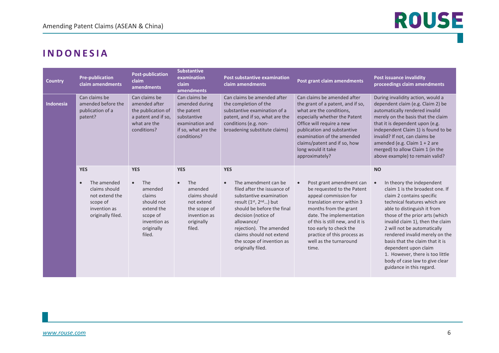### <span id="page-5-0"></span>**INDONESIA**

| <b>Country</b>   | <b>Pre-publication</b><br>claim amendments                                                                                 | <b>Post-publication</b><br>claim<br>amendments                                                                                      | <b>Substantive</b><br>examination<br>claim<br>amendments                                                                         | Post substantive examination<br>claim amendments                                                                                                                                                                                                                                                                       | Post grant claim amendments                                                                                                                                                                                                                                                                                    | <b>Post issuance invalidity</b><br>proceedings claim amendments                                                                                                                                                                                                                                                                                                                                                                                                                       |
|------------------|----------------------------------------------------------------------------------------------------------------------------|-------------------------------------------------------------------------------------------------------------------------------------|----------------------------------------------------------------------------------------------------------------------------------|------------------------------------------------------------------------------------------------------------------------------------------------------------------------------------------------------------------------------------------------------------------------------------------------------------------------|----------------------------------------------------------------------------------------------------------------------------------------------------------------------------------------------------------------------------------------------------------------------------------------------------------------|---------------------------------------------------------------------------------------------------------------------------------------------------------------------------------------------------------------------------------------------------------------------------------------------------------------------------------------------------------------------------------------------------------------------------------------------------------------------------------------|
| <b>Indonesia</b> | Can claims be<br>amended before the<br>publication of a<br>patent?                                                         | Can claims be<br>amended after<br>the publication of<br>a patent and if so,<br>what are the<br>conditions?                          | Can claims be<br>amended during<br>the patent<br>substantive<br>examination and<br>if so, what are the<br>conditions?            | Can claims be amended after<br>the completion of the<br>substantive examination of a<br>patent, and if so, what are the<br>conditions (e.g. non-<br>broadening substitute claims)                                                                                                                                      | Can claims be amended after<br>the grant of a patent, and if so,<br>what are the conditions,<br>especially whether the Patent<br>Office will require a new<br>publication and substantive<br>examination of the amended<br>claims/patent and if so, how<br>long would it take<br>approximately?                | During invalidity action, would a<br>dependent claim (e.g. Claim 2) be<br>automatically rendered invalid<br>merely on the basis that the claim<br>that it is dependent upon (e.g.<br>independent Claim 1) is found to be<br>invalid? If not, can claims be<br>amended (e.g. Claim $1 + 2$ are<br>merged) to allow Claim 1 (in the<br>above example) to remain valid?                                                                                                                  |
|                  | <b>YES</b><br>The amended<br>$\bullet$<br>claims should<br>not extend the<br>scope of<br>invention as<br>originally filed. | <b>YES</b><br>The<br>$\bullet$<br>amended<br>claims<br>should not<br>extend the<br>scope of<br>invention as<br>originally<br>filed. | <b>YES</b><br>The<br>$\bullet$<br>amended<br>claims should<br>not extend<br>the scope of<br>invention as<br>originally<br>filed. | <b>YES</b><br>The amendment can be<br>$\bullet$<br>filed after the issuance of<br>substantive examination<br>result $(1^{st}, 2^{nd})$ but<br>should be before the final<br>decision (notice of<br>allowance/<br>rejection). The amended<br>claims should not extend<br>the scope of invention as<br>originally filed. | Post grant amendment can<br>$\bullet$<br>be requested to the Patent<br>appeal commission for<br>translation error within 3<br>months from the grant<br>date. The implementation<br>of this is still new, and it is<br>too early to check the<br>practice of this process as<br>well as the turnaround<br>time. | <b>NO</b><br>In theory the independent<br>$\bullet$<br>claim 1 is the broadest one. If<br>claim 2 contains specific<br>technical features which are<br>able to distinguish it from<br>those of the prior arts (which<br>invalid claim 1), then the claim<br>2 will not be automatically<br>rendered invalid merely on the<br>basis that the claim that it is<br>dependent upon claim<br>1. However, there is too little<br>body of case law to give clear<br>guidance in this regard. |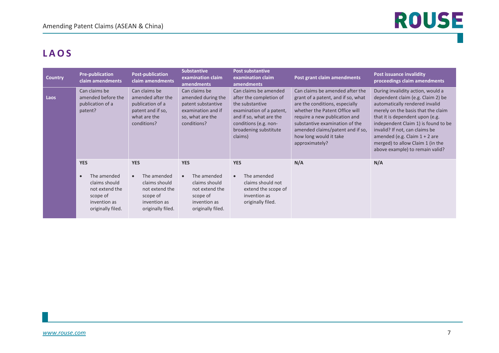### <span id="page-6-0"></span>**LAOS**

| <b>Country</b> | <b>Pre-publication</b><br>claim amendments                                                                   | <b>Post-publication</b><br>claim amendments                                                                  | <b>Substantive</b><br>examination claim<br>amendments                                                              | <b>Post substantive</b><br>examination claim<br>amendments                                                                                                                              | Post grant claim amendments                                                                                                                                                                                                                                                                  | <b>Post issuance invalidity</b><br>proceedings claim amendments                                                                                                                                                                                                                                                                                                      |
|----------------|--------------------------------------------------------------------------------------------------------------|--------------------------------------------------------------------------------------------------------------|--------------------------------------------------------------------------------------------------------------------|-----------------------------------------------------------------------------------------------------------------------------------------------------------------------------------------|----------------------------------------------------------------------------------------------------------------------------------------------------------------------------------------------------------------------------------------------------------------------------------------------|----------------------------------------------------------------------------------------------------------------------------------------------------------------------------------------------------------------------------------------------------------------------------------------------------------------------------------------------------------------------|
| Laos           | Can claims be<br>amended before the<br>publication of a<br>patent?                                           | Can claims be<br>amended after the<br>publication of a<br>patent and if so,<br>what are the<br>conditions?   | Can claims be<br>amended during the<br>patent substantive<br>examination and if<br>so, what are the<br>conditions? | Can claims be amended<br>after the completion of<br>the substantive<br>examination of a patent,<br>and if so, what are the<br>conditions (e.g. non-<br>broadening substitute<br>claims) | Can claims be amended after the<br>grant of a patent, and if so, what<br>are the conditions, especially<br>whether the Patent Office will<br>require a new publication and<br>substantive examination of the<br>amended claims/patent and if so,<br>how long would it take<br>approximately? | During invalidity action, would a<br>dependent claim (e.g. Claim 2) be<br>automatically rendered invalid<br>merely on the basis that the claim<br>that it is dependent upon (e.g.<br>independent Claim 1) is found to be<br>invalid? If not, can claims be<br>amended (e.g. Claim $1 + 2$ are<br>merged) to allow Claim 1 (in the<br>above example) to remain valid? |
|                | <b>YES</b>                                                                                                   | <b>YES</b>                                                                                                   | <b>YES</b>                                                                                                         | <b>YES</b>                                                                                                                                                                              | N/A                                                                                                                                                                                                                                                                                          | N/A                                                                                                                                                                                                                                                                                                                                                                  |
|                | The amended<br>$\bullet$<br>claims should<br>not extend the<br>scope of<br>invention as<br>originally filed. | The amended<br>$\bullet$<br>claims should<br>not extend the<br>scope of<br>invention as<br>originally filed. | The amended<br>$\bullet$<br>claims should<br>not extend the<br>scope of<br>invention as<br>originally filed.       | The amended<br>claims should not<br>extend the scope of<br>invention as<br>originally filed.                                                                                            |                                                                                                                                                                                                                                                                                              |                                                                                                                                                                                                                                                                                                                                                                      |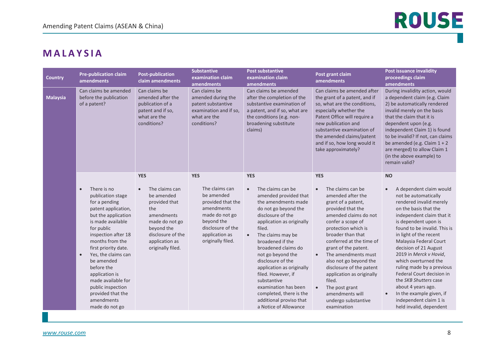#### <span id="page-7-0"></span>**MALAYSIA**

| <b>Country</b>  | <b>Pre-publication claim</b><br>amendments                                                                                                                                                                                                                                                                                                                                                          | <b>Post-publication</b><br>claim amendments                                                                                                                                               | <b>Substantive</b><br>examination claim<br>amendments                                                                                                                     | <b>Post substantive</b><br>examination claim<br>amendments                                                                                                                                                                                                                                                                                                                                                                                                                       | Post grant claim<br>amendments                                                                                                                                                                                                                                                                                                                                                                                                                                                      | <b>Post issuance invalidity</b><br>proceedings claim<br>amendments                                                                                                                                                                                                                                                                                                                                                                                                                                                                                              |
|-----------------|-----------------------------------------------------------------------------------------------------------------------------------------------------------------------------------------------------------------------------------------------------------------------------------------------------------------------------------------------------------------------------------------------------|-------------------------------------------------------------------------------------------------------------------------------------------------------------------------------------------|---------------------------------------------------------------------------------------------------------------------------------------------------------------------------|----------------------------------------------------------------------------------------------------------------------------------------------------------------------------------------------------------------------------------------------------------------------------------------------------------------------------------------------------------------------------------------------------------------------------------------------------------------------------------|-------------------------------------------------------------------------------------------------------------------------------------------------------------------------------------------------------------------------------------------------------------------------------------------------------------------------------------------------------------------------------------------------------------------------------------------------------------------------------------|-----------------------------------------------------------------------------------------------------------------------------------------------------------------------------------------------------------------------------------------------------------------------------------------------------------------------------------------------------------------------------------------------------------------------------------------------------------------------------------------------------------------------------------------------------------------|
| <b>Malaysia</b> | Can claims be amended<br>before the publication<br>of a patent?                                                                                                                                                                                                                                                                                                                                     | Can claims be<br>amended after the<br>publication of a<br>patent and if so,<br>what are the<br>conditions?                                                                                | Can claims be<br>amended during the<br>patent substantive<br>examination and if so,<br>what are the<br>conditions?                                                        | Can claims be amended<br>after the completion of the<br>substantive examination of<br>a patent, and if so, what are<br>the conditions (e.g. non-<br>broadening substitute<br>claims)                                                                                                                                                                                                                                                                                             | Can claims be amended after<br>the grant of a patent, and if<br>so, what are the conditions,<br>especially whether the<br>Patent Office will require a<br>new publication and<br>substantive examination of<br>the amended claims/patent<br>and if so, how long would it<br>take approximately?                                                                                                                                                                                     | During invalidity action, would<br>a dependent claim (e.g. Claim<br>2) be automatically rendered<br>invalid merely on the basis<br>that the claim that it is<br>dependent upon (e.g.<br>independent Claim 1) is found<br>to be invalid? If not, can claims<br>be amended (e.g. Claim $1 + 2$<br>are merged) to allow Claim 1<br>(in the above example) to<br>remain valid?                                                                                                                                                                                      |
|                 | There is no<br>$\bullet$<br>publication stage<br>for a pending<br>patent application,<br>but the application<br>is made available<br>for public<br>inspection after 18<br>months from the<br>first priority date.<br>Yes, the claims can<br>$\bullet$<br>be amended<br>before the<br>application is<br>made available for<br>public inspection<br>provided that the<br>amendments<br>made do not go | <b>YES</b><br>The claims can<br>$\bullet$<br>be amended<br>provided that<br>the<br>amendments<br>made do not go<br>beyond the<br>disclosure of the<br>application as<br>originally filed. | <b>YES</b><br>The claims can<br>be amended<br>provided that the<br>amendments<br>made do not go<br>beyond the<br>disclosure of the<br>application as<br>originally filed. | <b>YES</b><br>The claims can be<br>$\bullet$<br>amended provided that<br>the amendments made<br>do not go beyond the<br>disclosure of the<br>application as originally<br>filed.<br>The claims may be<br>$\bullet$<br>broadened if the<br>broadened claims do<br>not go beyond the<br>disclosure of the<br>application as originally<br>filed. However, if<br>substantive<br>examination has been<br>completed, there is the<br>additional proviso that<br>a Notice of Allowance | <b>YES</b><br>The claims can be<br>$\bullet$<br>amended after the<br>grant of a patent,<br>provided that the<br>amended claims do not<br>confer a scope of<br>protection which is<br>broader than that<br>conferred at the time of<br>grant of the patent.<br>The amendments must<br>$\bullet$<br>also not go beyond the<br>disclosure of the patent<br>application as originally<br>filed.<br>The post grant<br>$\bullet$<br>amendments will<br>undergo substantive<br>examination | <b>NO</b><br>A dependent claim would<br>$\bullet$<br>not be automatically<br>rendered invalid merely<br>on the basis that the<br>independent claim that it<br>is dependent upon is<br>found to be invalid. This is<br>in light of the recent<br>Malaysia Federal Court<br>decision of 21 August<br>2019 in Merck v Hovid,<br>which overturned the<br>ruling made by a previous<br><b>Federal Court decision in</b><br>the SKB Shutters case<br>about 4 years ago.<br>In the example given, if<br>$\bullet$<br>independent claim 1 is<br>held invalid, dependent |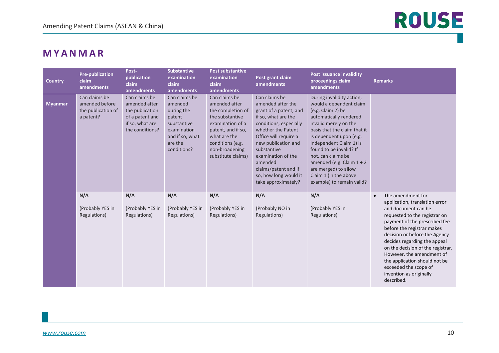#### <span id="page-9-0"></span>**MYANMAR**

| <b>Country</b> | <b>Pre-publication</b><br>claim<br>amendments                      | Post-<br><b>publication</b><br>claim<br>amendments                                                         | <b>Substantive</b><br>examination<br>claim<br>amendments                                                                    | <b>Post substantive</b><br>examination<br>claim<br>amendments                                                                                                                                | Post grant claim<br>amendments                                                                                                                                                                                                                                                                              | <b>Post issuance invalidity</b><br>proceedings claim<br>amendments                                                                                                                                                                                                                                                                                                               | <b>Remarks</b>                                                                                                                                                                                                                                                                                                                                                                                                                |
|----------------|--------------------------------------------------------------------|------------------------------------------------------------------------------------------------------------|-----------------------------------------------------------------------------------------------------------------------------|----------------------------------------------------------------------------------------------------------------------------------------------------------------------------------------------|-------------------------------------------------------------------------------------------------------------------------------------------------------------------------------------------------------------------------------------------------------------------------------------------------------------|----------------------------------------------------------------------------------------------------------------------------------------------------------------------------------------------------------------------------------------------------------------------------------------------------------------------------------------------------------------------------------|-------------------------------------------------------------------------------------------------------------------------------------------------------------------------------------------------------------------------------------------------------------------------------------------------------------------------------------------------------------------------------------------------------------------------------|
| <b>Myanmar</b> | Can claims be<br>amended before<br>the publication of<br>a patent? | Can claims be<br>amended after<br>the publication<br>of a patent and<br>if so, what are<br>the conditions? | Can claims be<br>amended<br>during the<br>patent<br>substantive<br>examination<br>and if so, what<br>are the<br>conditions? | Can claims be<br>amended after<br>the completion of<br>the substantive<br>examination of a<br>patent, and if so,<br>what are the<br>conditions (e.g.<br>non-broadening<br>substitute claims) | Can claims be<br>amended after the<br>grant of a patent, and<br>if so, what are the<br>conditions, especially<br>whether the Patent<br>Office will require a<br>new publication and<br>substantive<br>examination of the<br>amended<br>claims/patent and if<br>so, how long would it<br>take approximately? | During invalidity action,<br>would a dependent claim<br>(e.g. Claim 2) be<br>automatically rendered<br>invalid merely on the<br>basis that the claim that it<br>is dependent upon (e.g.<br>independent Claim 1) is<br>found to be invalid? If<br>not, can claims be<br>amended (e.g. Claim $1 + 2$<br>are merged) to allow<br>Claim 1 (in the above<br>example) to remain valid? |                                                                                                                                                                                                                                                                                                                                                                                                                               |
|                | N/A<br>(Probably YES in<br>Regulations)                            | N/A<br>(Probably YES in<br>Regulations)                                                                    | N/A<br>(Probably YES in<br>Regulations)                                                                                     | N/A<br>(Probably YES in<br>Regulations)                                                                                                                                                      | N/A<br>(Probably NO in<br>Regulations)                                                                                                                                                                                                                                                                      | N/A<br>(Probably YES in<br>Regulations)                                                                                                                                                                                                                                                                                                                                          | The amendment for<br>$\bullet$<br>application, translation error<br>and document can be<br>requested to the registrar on<br>payment of the prescribed fee<br>before the registrar makes<br>decision or before the Agency<br>decides regarding the appeal<br>on the decision of the registrar.<br>However, the amendment of<br>the application should not be<br>exceeded the scope of<br>invention as originally<br>described. |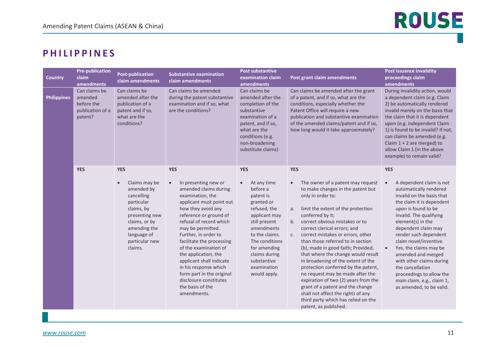#### <span id="page-10-0"></span>**P H I LIPPINES**

| <b>Country</b>     | <b>Pre-publication</b><br>claim<br>amendments                         | <b>Post-publication</b><br>claim amendments                                                                                                                                                     | <b>Substantive examination</b><br>claim amendments                                                                                                                                                                                                                                                                                                                                                                                                                            | <b>Post substantive</b><br>examination claim<br>amendments                                                                                                                                                                                                       | Post grant claim amendments                                                                                                                                                                                                                                                                                                                                                                                                                                                                                                                                                                                                                                                                                                   | <b>Post issuance invalidity</b><br>proceedings claim<br><b>amendments</b>                                                                                                                                                                                                                                                                                                                                                                                                                   |
|--------------------|-----------------------------------------------------------------------|-------------------------------------------------------------------------------------------------------------------------------------------------------------------------------------------------|-------------------------------------------------------------------------------------------------------------------------------------------------------------------------------------------------------------------------------------------------------------------------------------------------------------------------------------------------------------------------------------------------------------------------------------------------------------------------------|------------------------------------------------------------------------------------------------------------------------------------------------------------------------------------------------------------------------------------------------------------------|-------------------------------------------------------------------------------------------------------------------------------------------------------------------------------------------------------------------------------------------------------------------------------------------------------------------------------------------------------------------------------------------------------------------------------------------------------------------------------------------------------------------------------------------------------------------------------------------------------------------------------------------------------------------------------------------------------------------------------|---------------------------------------------------------------------------------------------------------------------------------------------------------------------------------------------------------------------------------------------------------------------------------------------------------------------------------------------------------------------------------------------------------------------------------------------------------------------------------------------|
| <b>Philippines</b> | Can claims be<br>amended<br>before the<br>publication of a<br>patent? | Can claims be<br>amended after the<br>publication of a<br>patent and if so,<br>what are the<br>conditions?                                                                                      | Can claims be amended<br>during the patent substantive<br>examination and if so, what<br>are the conditions?                                                                                                                                                                                                                                                                                                                                                                  | Can claims be<br>amended after the<br>completion of the<br>substantive<br>examination of a<br>patent, and if so,<br>what are the<br>conditions (e.g.<br>non-broadening<br>substitute claims)                                                                     | Can claims be amended after the grant<br>of a patent, and if so, what are the<br>conditions, especially whether the<br>Patent Office will require a new<br>publication and substantive examination<br>of the amended claims/patent and if so,<br>how long would it take approximately?                                                                                                                                                                                                                                                                                                                                                                                                                                        | During invalidity action, would<br>a dependent claim (e.g. Claim<br>2) be automatically rendered<br>invalid merely on the basis that<br>the claim that it is dependent<br>upon (e.g. independent Claim<br>1) is found to be invalid? If not,<br>can claims be amended (e.g.<br>Claim $1 + 2$ are merged) to<br>allow Claim 1 (in the above<br>example) to remain valid?                                                                                                                     |
|                    | <b>YES</b>                                                            | <b>YES</b><br>Claims may be<br>$\bullet$<br>amended by<br>cancelling<br>particular<br>claims, by<br>presenting new<br>claims, or by<br>amending the<br>language of<br>particular new<br>claims. | <b>YES</b><br>In presenting new or<br>$\bullet$<br>amended claims during<br>examination, the<br>applicant must point out<br>how they avoid any<br>reference or ground of<br>refusal of record which<br>may be permitted.<br>Further, in order to<br>facilitate the processing<br>of the examination of<br>the application, the<br>applicant shall indicate<br>in his response which<br>form part in the original<br>disclosure constitutes<br>the basis of the<br>amendments. | <b>YES</b><br>At any time<br>$\bullet$<br>before a<br>patent is<br>granted or<br>refused, the<br>applicant may<br>still present<br>amendments<br>to the claims.<br>The conditions<br>for amending<br>claims during<br>substantive<br>examination<br>would apply. | <b>YES</b><br>The owner of a patent may request<br>$\bullet$<br>to make changes in the patent but<br>only in order to:<br>limit the extent of the protection<br>a.<br>conferred by it;<br>correct obvious mistakes or to<br>b.<br>correct clerical errors; and<br>correct mistakes or errors, other<br>C.<br>than those referred to in section<br>(b), made in good faith; Provided,<br>that where the change would result<br>in broadening of the extent of the<br>protection conferred by the patent,<br>no request may be made after the<br>expiration of two (2) years from the<br>grant of a patent and the change<br>shall not affect the rights of any<br>third party which has relied on the<br>patent, as published. | <b>YES</b><br>A dependent claim is not<br>$\bullet$<br>automatically rendered<br>invalid on the basis that<br>the claim it is dependent<br>upon is found to be<br>invalid. The qualifying<br>element(s) in the<br>dependent claim may<br>render such dependent<br>claim novel/inventive.<br>Yes, the claims may be<br>$\bullet$<br>amended and merged<br>with other claims during<br>the cancellation<br>proceedings to allow the<br>main claim, e.g., claim 1,<br>as amended, to be valid. |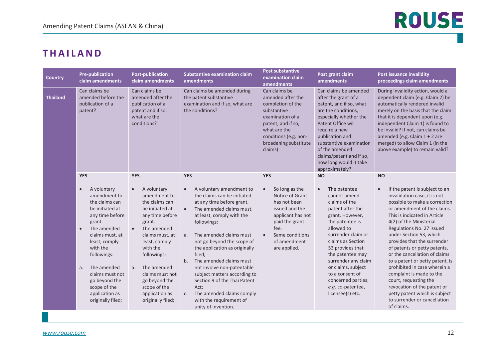### <span id="page-11-0"></span>**THAILAND**

| <b>Country</b>                                                                        | <b>Pre-publication</b><br>claim amendments                                                                                                                                                                                                                                                                                          | <b>Post-publication</b><br>claim amendments                                                                                                                                                                                                                                                                                                     | <b>Substantive examination claim</b><br>amendments                                                                                                                                                                                                                                                                                                                                                                                                                                                                                                    | <b>Post substantive</b><br>examination claim<br>amendments                                                                                                                                                    | Post grant claim<br>amendments                                                                                                                                                                                                                                                                                                                                    | <b>Post issuance invalidity</b><br>proceedings claim amendments                                                                                                                                                                                                                                                                                                                                                                                                                                                                                                                                                   |
|---------------------------------------------------------------------------------------|-------------------------------------------------------------------------------------------------------------------------------------------------------------------------------------------------------------------------------------------------------------------------------------------------------------------------------------|-------------------------------------------------------------------------------------------------------------------------------------------------------------------------------------------------------------------------------------------------------------------------------------------------------------------------------------------------|-------------------------------------------------------------------------------------------------------------------------------------------------------------------------------------------------------------------------------------------------------------------------------------------------------------------------------------------------------------------------------------------------------------------------------------------------------------------------------------------------------------------------------------------------------|---------------------------------------------------------------------------------------------------------------------------------------------------------------------------------------------------------------|-------------------------------------------------------------------------------------------------------------------------------------------------------------------------------------------------------------------------------------------------------------------------------------------------------------------------------------------------------------------|-------------------------------------------------------------------------------------------------------------------------------------------------------------------------------------------------------------------------------------------------------------------------------------------------------------------------------------------------------------------------------------------------------------------------------------------------------------------------------------------------------------------------------------------------------------------------------------------------------------------|
| Can claims be<br><b>Thailand</b><br>amended before the<br>publication of a<br>patent? |                                                                                                                                                                                                                                                                                                                                     | Can claims be<br>amended after the<br>publication of a<br>patent and if so,<br>what are the<br>conditions?                                                                                                                                                                                                                                      | Can claims be amended during<br>the patent substantive<br>examination and if so, what are<br>the conditions?                                                                                                                                                                                                                                                                                                                                                                                                                                          | Can claims be<br>amended after the<br>completion of the<br>substantive<br>examination of a<br>patent, and if so,<br>what are the<br>conditions (e.g. non-<br>broadening substitute<br>claims)                 | Can claims be amended<br>after the grant of a<br>patent, and if so, what<br>are the conditions,<br>especially whether the<br>Patent Office will<br>require a new<br>publication and<br>substantive examination<br>of the amended<br>claims/patent and if so,<br>how long would it take<br>approximately?                                                          | During invalidity action, would a<br>dependent claim (e.g. Claim 2) be<br>automatically rendered invalid<br>merely on the basis that the claim<br>that it is dependent upon (e.g.<br>independent Claim 1) is found to<br>be invalid? If not, can claims be<br>amended (e.g. Claim $1 + 2$ are<br>merged) to allow Claim 1 (in the<br>above example) to remain valid?                                                                                                                                                                                                                                              |
|                                                                                       | <b>YES</b><br>A voluntary<br>$\bullet$<br>amendment to<br>the claims can<br>be initiated at<br>any time before<br>grant.<br>The amended<br>$\bullet$<br>claims must, at<br>least, comply<br>with the<br>followings:<br>The amended<br>a.<br>claims must not<br>go beyond the<br>scope of the<br>application as<br>originally filed; | <b>YES</b><br>A voluntary<br>$\bullet$<br>amendment to<br>the claims can<br>be initiated at<br>any time before<br>grant.<br>The amended<br>$\bullet$<br>claims must, at<br>least, comply<br>with the<br>followings:<br>The amended<br>a <sub>z</sub><br>claims must not<br>go beyond the<br>scope of the<br>application as<br>originally filed; | <b>YES</b><br>A voluntary amendment to<br>$\bullet$<br>the claims can be initiated<br>at any time before grant.<br>The amended claims must,<br>at least, comply with the<br>followings:<br>The amended claims must<br>a.<br>not go beyond the scope of<br>the application as originally<br>filed;<br>b <sub>1</sub><br>The amended claims must<br>not involve non-patentable<br>subject matters according to<br>Section 9 of the Thai Patent<br>Act;<br>The amended claims comply<br>C <sub>1</sub><br>with the requirement of<br>unity of invention. | <b>YES</b><br>So long as the<br>$\bullet$<br>Notice of Grant<br>has not been<br>issued and the<br>applicant has not<br>paid the grant<br>fee.<br>Same conditions<br>$\bullet$<br>of amendment<br>are applied. | <b>NO</b><br>The patentee<br>$\bullet$<br>cannot amend<br>claims of the<br>patent after the<br>grant. However,<br>the patentee is<br>allowed to<br>surrender claim or<br>claims as Section<br>53 provides that<br>the patentee may<br>surrender any claim<br>or claims, subject<br>to a consent of<br>concerned parties;<br>e.g. co-patentee,<br>licensee(s) etc. | <b>NO</b><br>If the patent is subject to an<br>$\bullet$<br>invalidation case, it is not<br>possible to make a correction<br>or amendment of the claims.<br>This is indicated in Article<br>4(2) of the Ministerial<br>Regulations No. 27 issued<br>under Section 53, which<br>provides that the surrender<br>of patents or petty patents,<br>or the cancellation of claims<br>to a patent or petty patent, is<br>prohibited in case wherein a<br>complaint is made to the<br>court, requesting the<br>revocation of the patent or<br>petty patent which is subject<br>to surrender or cancellation<br>of claims. |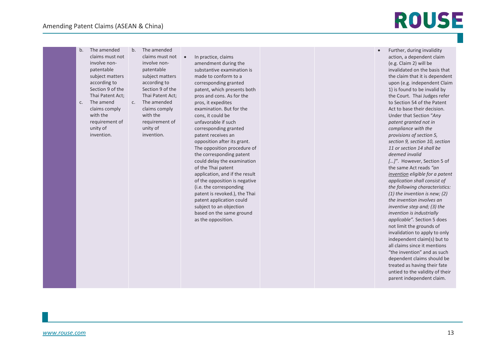b. The amended claims must not involve nonpatentable subject matters according to Section 9 of the Thai Patent Act; c. The amend claims comply with the requirement of unity of invention. b. The amended claims must not involve nonpatentable subject matters according to Section 9 of the Thai Patent Act; c. The amended claims comply with the requirement of unity of invention.

• In practice, claims amendment during the substantive examination is made to conform to a corresponding granted patent, which presents both pros and cons. As for the pros, it expedites examination. But for the cons, it could be unfavorable if such corresponding granted patent receives an opposition after its grant. The opposition procedure of the corresponding patent could delay the examination of the Thai patent application, and if the result of the opposition is negative (i.e. the corresponding patent is revoked.), the Thai patent application could subject to an objection based on the same ground

as the opposition.

• Further, during invalidity action, a dependent claim (e.g. Claim 2) will be invalidated on the basis that the claim that it is dependent upon (e.g. independent Claim 1) is found to be invalid by the Court. Thai Judges refer to Section 54 of the Patent Act to base their decision. Under that Section "*Any patent granted not in compliance with the provisions of section 5, section 9, section 10, section 11 or section 14 shall be deemed invalid […]"*. However, Section 5 of the same Act reads *"an invention eligible for a patent application shall consist of the following characteristics: (1) the invention is new; (2) the invention involves an inventive step and; (3) the invention is industrially applicable".* Section 5 does not limit the grounds of invalidation to apply to only independent claim(s) but to all claims since it mentions "the invention" and as such dependent claims should be treated as having their fate untied to the validity of their parent independent claim.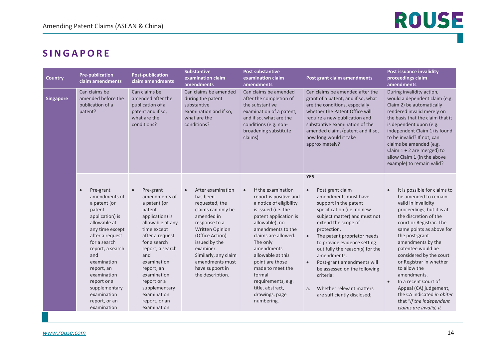### <span id="page-13-0"></span>**SINGAPORE**

| <b>Country</b>   | <b>Pre-publication</b><br>claim amendments                                                                                                                                                                                                                                                                       | <b>Post-publication</b><br>claim amendments                                                                                                                                                                                                                                                                      | <b>Substantive</b><br>examination claim<br>amendments                                                                                                                                                                                                                   | <b>Post substantive</b><br>examination claim<br>amendments                                                                                                                                                                                                                                                                                                                   | Post grant claim amendments                                                                                                                                                                                                                                                                                                                                                                                                                                                                        | Post issuance invalidity<br>proceedings claim<br>amendments                                                                                                                                                                                                                                                                                                                                                                                                                      |
|------------------|------------------------------------------------------------------------------------------------------------------------------------------------------------------------------------------------------------------------------------------------------------------------------------------------------------------|------------------------------------------------------------------------------------------------------------------------------------------------------------------------------------------------------------------------------------------------------------------------------------------------------------------|-------------------------------------------------------------------------------------------------------------------------------------------------------------------------------------------------------------------------------------------------------------------------|------------------------------------------------------------------------------------------------------------------------------------------------------------------------------------------------------------------------------------------------------------------------------------------------------------------------------------------------------------------------------|----------------------------------------------------------------------------------------------------------------------------------------------------------------------------------------------------------------------------------------------------------------------------------------------------------------------------------------------------------------------------------------------------------------------------------------------------------------------------------------------------|----------------------------------------------------------------------------------------------------------------------------------------------------------------------------------------------------------------------------------------------------------------------------------------------------------------------------------------------------------------------------------------------------------------------------------------------------------------------------------|
| <b>Singapore</b> | Can claims be<br>amended before the<br>publication of a<br>patent?                                                                                                                                                                                                                                               | Can claims be<br>amended after the<br>publication of a<br>patent and if so,<br>what are the<br>conditions?                                                                                                                                                                                                       | Can claims be amended<br>during the patent<br>substantive<br>examination and if so,<br>what are the<br>conditions?                                                                                                                                                      | Can claims be amended<br>after the completion of<br>the substantive<br>examination of a patent,<br>and if so, what are the<br>conditions (e.g. non-<br>broadening substitute<br>claims)                                                                                                                                                                                      | Can claims be amended after the<br>grant of a patent, and if so, what<br>are the conditions, especially<br>whether the Patent Office will<br>require a new publication and<br>substantive examination of the<br>amended claims/patent and if so,<br>how long would it take<br>approximately?                                                                                                                                                                                                       | During invalidity action,<br>would a dependent claim (e.g.<br>Claim 2) be automatically<br>rendered invalid merely on<br>the basis that the claim that it<br>is dependent upon (e.g.<br>independent Claim 1) is found<br>to be invalid? If not, can<br>claims be amended (e.g.<br>Claim $1 + 2$ are merged) to<br>allow Claim 1 (in the above<br>example) to remain valid?                                                                                                       |
|                  | Pre-grant<br>$\bullet$<br>amendments of<br>a patent (or<br>patent<br>application) is<br>allowable at<br>any time except<br>after a request<br>for a search<br>report, a search<br>and<br>examination<br>report, an<br>examination<br>report or a<br>supplementary<br>examination<br>report, or an<br>examination | Pre-grant<br>$\bullet$<br>amendments of<br>a patent (or<br>patent<br>application) is<br>allowable at any<br>time except<br>after a request<br>for a search<br>report, a search<br>and<br>examination<br>report, an<br>examination<br>report or a<br>supplementary<br>examination<br>report, or an<br>examination | After examination<br>$\bullet$<br>has been<br>requested, the<br>claims can only be<br>amended in<br>response to a<br>Written Opinion<br>(Office Action)<br>issued by the<br>examiner.<br>Similarly, any claim<br>amendments must<br>have support in<br>the description. | If the examination<br>$\bullet$<br>report is positive and<br>a notice of eligibility<br>is issued (i.e. the<br>patent application is<br>allowable), no<br>amendments to the<br>claims are allowed.<br>The only<br>amendments<br>allowable at this<br>point are those<br>made to meet the<br>formal<br>requirements, e.g.<br>title, abstract,<br>drawings, page<br>numbering. | <b>YES</b><br>Post grant claim<br>$\bullet$<br>amendments must have<br>support in the patent<br>specification (i.e. no new<br>subject matter) and must not<br>extend the scope of<br>protection.<br>The patent proprietor needs<br>$\bullet$<br>to provide evidence setting<br>out fully the reason(s) for the<br>amendments.<br>Post-grant amendments will<br>$\bullet$<br>be assessed on the following<br>criteria:<br>Whether relevant matters<br>a <sub>r</sub><br>are sufficiently disclosed; | It is possible for claims to<br>be amended to remain<br>valid in invalidity<br>proceedings, but it is at<br>the discretion of the<br>court or Registrar. The<br>same points as above for<br>the post-grant<br>amendments by the<br>patentee would be<br>considered by the court<br>or Registrar in whether<br>to allow the<br>amendments.<br>In a recent Court of<br>Appeal (CA) judgement,<br>the CA indicated in obiter<br>that "if the independent"<br>claims are invalid, it |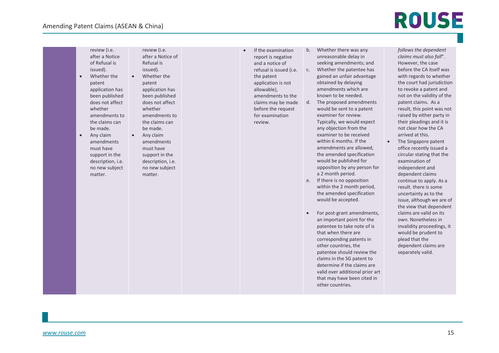review (i.e.

# ROUSE

after a Notice of Refusal is issued). • Whether the patent application has been published does not affect whether amendments to the claims can be made. • Any claim amendments must have support in the description, i.e. no new subject matter. after a Notice of Refusal is issued). • Whether the patent application has been published does not affect whether amendments to the claims can be made. • Any claim amendments must have support in the description, i.e. no new subject matter.

review (i.e.

• If the examination report is negative and a notice of refusal is issued (i.e. the patent application is not allowable),

amendments to the claims may be made before the request for examination review.

b. Whether there was any unreasonable delay in seeking amendments; and

- c. Whether the patentee has gained an unfair advantage obtained by delaying amendments which are known to be needed.
- d. The proposed amendments would be sent to a patent examiner for review. Typically, we would expect any objection from the examiner to be received within 6 months. If the amendments are allowed, the amended specification would be published for opposition by any person for a 2 month period.
- e. If there is no opposition within the 2 month period, the amended specification would be accepted.
- For post-grant amendments, an important point for the patentee to take note of is that when there are corresponding patents in other countries, the patentee should review the claims in the SG patent to determine if the claims are valid over additional prior art that may have been cited in other countries.

*follows the dependent claims must also fall*". However, the case before the CA itself was with regards to whether the court had jurisdiction to revoke a patent and not on the validity of the patent claims. As a result, this point was not raised by either party in their pleadings and it is not clear how the CA arrived at this.

• The Singapore patent office recently issued a circular stating that the examination of independent and dependent claims continue to apply. As a result. there is some uncertainty as to the issue, although we are of the view that dependent claims are valid on its own. Nonetheless in invalidity proceedings, it would be prudent to plead that the dependent claims are separately valid.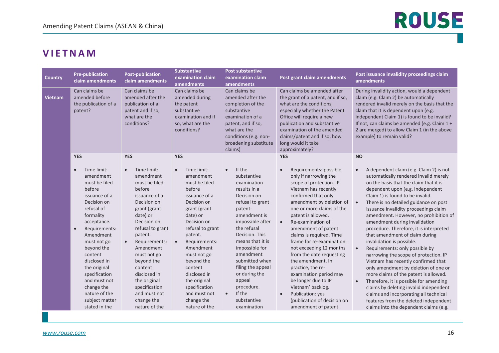#### <span id="page-15-0"></span>**VIETNAM**

| <b>Country</b>                                                                       | <b>Pre-publication</b><br>claim amendments                                                                                                                                                                                                                                                                                                                                     | <b>Post-publication</b><br>claim amendments                                                                                                                                                                                                                                                                                                                                 | <b>Substantive</b><br>examination claim<br>amendments                                                                                                                                                                                                                                                                                                                       | <b>Post substantive</b><br>examination claim<br>amendments                                                                                                                                                                                                                                                                                                                   | Post grant claim amendments                                                                                                                                                                                                                                                                                                                                                                                                                                                                                                                                                                                         | Post issuance invalidity proceedings claim<br>amendments                                                                                                                                                                                                                                                                                                                                                                                                                                                                                                                                                                                                                                                                                                                                                                                                                                                                                                      |
|--------------------------------------------------------------------------------------|--------------------------------------------------------------------------------------------------------------------------------------------------------------------------------------------------------------------------------------------------------------------------------------------------------------------------------------------------------------------------------|-----------------------------------------------------------------------------------------------------------------------------------------------------------------------------------------------------------------------------------------------------------------------------------------------------------------------------------------------------------------------------|-----------------------------------------------------------------------------------------------------------------------------------------------------------------------------------------------------------------------------------------------------------------------------------------------------------------------------------------------------------------------------|------------------------------------------------------------------------------------------------------------------------------------------------------------------------------------------------------------------------------------------------------------------------------------------------------------------------------------------------------------------------------|---------------------------------------------------------------------------------------------------------------------------------------------------------------------------------------------------------------------------------------------------------------------------------------------------------------------------------------------------------------------------------------------------------------------------------------------------------------------------------------------------------------------------------------------------------------------------------------------------------------------|---------------------------------------------------------------------------------------------------------------------------------------------------------------------------------------------------------------------------------------------------------------------------------------------------------------------------------------------------------------------------------------------------------------------------------------------------------------------------------------------------------------------------------------------------------------------------------------------------------------------------------------------------------------------------------------------------------------------------------------------------------------------------------------------------------------------------------------------------------------------------------------------------------------------------------------------------------------|
| Can claims be<br>amended before<br><b>Vietnam</b><br>the publication of a<br>patent? |                                                                                                                                                                                                                                                                                                                                                                                | Can claims be<br>amended after the<br>publication of a<br>patent and if so,<br>what are the<br>conditions?                                                                                                                                                                                                                                                                  | Can claims be<br>amended during<br>the patent<br>substantive<br>examination and if<br>so, what are the<br>conditions?                                                                                                                                                                                                                                                       | Can claims be<br>amended after the<br>completion of the<br>substantive<br>examination of a<br>patent, and if so,<br>what are the<br>conditions (e.g. non-<br>broadening substitute<br>claims)                                                                                                                                                                                | Can claims be amended after<br>the grant of a patent, and if so,<br>what are the conditions,<br>especially whether the Patent<br>Office will require a new<br>publication and substantive<br>examination of the amended<br>claims/patent and if so, how<br>long would it take<br>approximately?                                                                                                                                                                                                                                                                                                                     | During invalidity action, would a dependent<br>claim (e.g. Claim 2) be automatically<br>rendered invalid merely on the basis that the<br>claim that it is dependent upon (e.g.<br>independent Claim 1) is found to be invalid?<br>If not, can claims be amended (e.g. Claim 1 +<br>2 are merged) to allow Claim 1 (in the above<br>example) to remain valid?                                                                                                                                                                                                                                                                                                                                                                                                                                                                                                                                                                                                  |
|                                                                                      | <b>YES</b><br>Time limit:<br>$\bullet$<br>amendment<br>must be filed<br>before<br>issuance of a<br>Decision on<br>refusal of<br>formality<br>acceptance.<br>Requirements:<br>$\bullet$<br>Amendment<br>must not go<br>beyond the<br>content<br>disclosed in<br>the original<br>specification<br>and must not<br>change the<br>nature of the<br>subject matter<br>stated in the | <b>YES</b><br>Time limit:<br>$\bullet$<br>amendment<br>must be filed<br>before<br>issuance of a<br>Decision on<br>grant (grant<br>date) or<br>Decision on<br>refusal to grant<br>patent.<br>Requirements:<br>$\bullet$<br>Amendment<br>must not go<br>beyond the<br>content<br>disclosed in<br>the original<br>specification<br>and must not<br>change the<br>nature of the | <b>YES</b><br>Time limit:<br>$\bullet$<br>amendment<br>must be filed<br>before<br>issuance of a<br>Decision on<br>grant (grant<br>date) or<br>Decision on<br>refusal to grant<br>patent.<br>Requirements:<br>$\bullet$<br>Amendment<br>must not go<br>beyond the<br>content<br>disclosed in<br>the original<br>specification<br>and must not<br>change the<br>nature of the | If the<br>$\bullet$<br>substantive<br>examination<br>results in a<br>Decision on<br>refusal to grant<br>patent:<br>amendment is<br>impossible after<br>the refusal<br>Decision. This<br>means that it is<br>impossible for<br>amendment<br>submitted when<br>filing the appeal<br>or during the<br>appeal<br>procedure.<br>If the<br>$\bullet$<br>substantive<br>examination | <b>YES</b><br>Requirements: possible<br>$\bullet$<br>only if narrowing the<br>scope of protection. IP<br>Vietnam has recently<br>confirmed that only<br>amendment by deletion of<br>one or more claims of the<br>patent is allowed.<br>Re-examination of<br>$\bullet$<br>amendment of patent<br>claims is required. Time<br>frame for re-examination:<br>not exceeding 12 months<br>from the date requesting<br>the amendment. In<br>practice, the re-<br>examination period may<br>be longer due to IP<br>Vietnam' backlog.<br>Publication: yes<br>$\bullet$<br>(publication of decision on<br>amendment of patent | <b>NO</b><br>A dependent claim (e.g. Claim 2) is not<br>$\bullet$<br>automatically rendered invalid merely<br>on the basis that the claim that it is<br>dependent upon (e.g. independent<br>Claim 1) is found to be invalid.<br>There is no detailed guidance on post<br>$\bullet$<br>issuance invalidity proceedings claim<br>amendment. However, no prohibition of<br>amendment during invalidation<br>procedure. Therefore, it is interpreted<br>that amendment of claim during<br>invalidation is possible.<br>Requirements: only possible by<br>$\bullet$<br>narrowing the scope of protection. IP<br>Vietnam has recently confirmed that<br>only amendment by deletion of one or<br>more claims of the patent is allowed.<br>Therefore, it is possible for amending<br>$\bullet$<br>claims by deleting invalid independent<br>claims and incorporating all technical<br>features from the deleted independent<br>claims into the dependent claims (e.g. |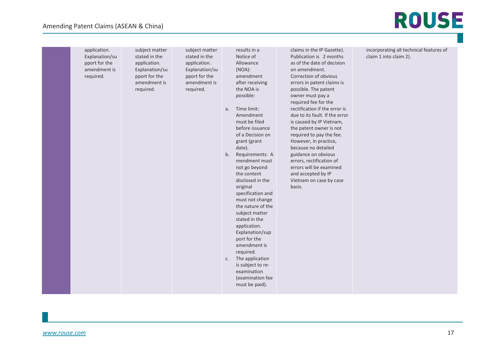#### Amending Patent Claims (ASEAN & China)

| application.<br>Explanation/su<br>pport for the | subject matter<br>stated in the<br>application. | subject matter<br>stated in the<br>application. | results in a<br>Notice of<br>Allowance     | claims in the IP Gazette).<br>Publication is 2 months<br>as of the date of decision | incorporating all technical features of<br>claim 1 into claim 2). |
|-------------------------------------------------|-------------------------------------------------|-------------------------------------------------|--------------------------------------------|-------------------------------------------------------------------------------------|-------------------------------------------------------------------|
| amendment is<br>required.                       | Explanation/su<br>pport for the                 | Explanation/su<br>pport for the                 | (NOA):<br>amendment                        | on amendment.<br>Correction of obvious                                              |                                                                   |
|                                                 | amendment is<br>required.                       | amendment is<br>required.                       | after receiving<br>the NOA is              | errors in patent claims is<br>possible. The patent                                  |                                                                   |
|                                                 |                                                 |                                                 | possible:                                  | owner must pay a<br>required fee for the                                            |                                                                   |
|                                                 |                                                 |                                                 | Time limit:<br>a.<br>Amendment             | rectification if the error is<br>due to its fault. If the error                     |                                                                   |
|                                                 |                                                 |                                                 | must be filed<br>before issuance           | is caused by IP Vietnam,<br>the patent owner is not                                 |                                                                   |
|                                                 |                                                 |                                                 | of a Decision on                           | required to pay the fee.                                                            |                                                                   |
|                                                 |                                                 |                                                 | grant (grant<br>date).                     | However, in practice,<br>because no detailed                                        |                                                                   |
|                                                 |                                                 |                                                 | Requirements: A<br>b.<br>mendment must     | guidance on obvious<br>errors, rectification of                                     |                                                                   |
|                                                 |                                                 |                                                 | not go beyond<br>the content               | errors will be examined<br>and accepted by IP                                       |                                                                   |
|                                                 |                                                 |                                                 | disclosed in the<br>original               | Vietnam on case by case<br>basis.                                                   |                                                                   |
|                                                 |                                                 |                                                 | specification and<br>must not change       |                                                                                     |                                                                   |
|                                                 |                                                 |                                                 | the nature of the<br>subject matter        |                                                                                     |                                                                   |
|                                                 |                                                 |                                                 | stated in the<br>application.              |                                                                                     |                                                                   |
|                                                 |                                                 |                                                 | Explanation/sup<br>port for the            |                                                                                     |                                                                   |
|                                                 |                                                 |                                                 | amendment is<br>required.                  |                                                                                     |                                                                   |
|                                                 |                                                 |                                                 | The application<br>C.<br>is subject to re- |                                                                                     |                                                                   |
|                                                 |                                                 |                                                 | examination<br>(examination fee            |                                                                                     |                                                                   |
|                                                 |                                                 |                                                 | must be paid).                             |                                                                                     |                                                                   |